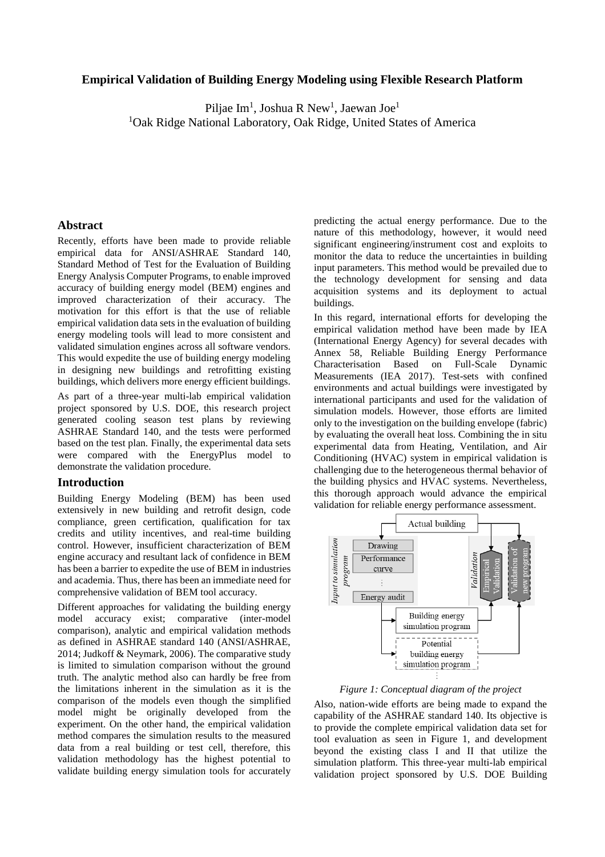### **Empirical Validation of Building Energy Modeling using Flexible Research Platform**

Piljae Im<sup>1</sup>, Joshua R New<sup>1</sup>, Jaewan Joe<sup>1</sup> <sup>1</sup>Oak Ridge National Laboratory, Oak Ridge, United States of America

#### **Abstract**

Recently, efforts have been made to provide reliable empirical data for ANSI/ASHRAE Standard 140, Standard Method of Test for the Evaluation of Building Energy Analysis Computer Programs, to enable improved accuracy of building energy model (BEM) engines and improved characterization of their accuracy. The motivation for this effort is that the use of reliable empirical validation data sets in the evaluation of building energy modeling tools will lead to more consistent and validated simulation engines across all software vendors. This would expedite the use of building energy modeling in designing new buildings and retrofitting existing buildings, which delivers more energy efficient buildings.

As part of a three-year multi-lab empirical validation project sponsored by U.S. DOE, this research project generated cooling season test plans by reviewing ASHRAE Standard 140, and the tests were performed based on the test plan. Finally, the experimental data sets were compared with the EnergyPlus model to demonstrate the validation procedure.

### **Introduction**

Building Energy Modeling (BEM) has been used extensively in new building and retrofit design, code compliance, green certification, qualification for tax credits and utility incentives, and real-time building control. However, insufficient characterization of BEM engine accuracy and resultant lack of confidence in BEM has been a barrier to expedite the use of BEM in industries and academia. Thus, there has been an immediate need for comprehensive validation of BEM tool accuracy.

Different approaches for validating the building energy model accuracy exist; comparative (inter-model comparison), analytic and empirical validation methods as defined in ASHRAE standard 140 (ANSI/ASHRAE, 2014; Judkoff & Neymark, 2006). The comparative study is limited to simulation comparison without the ground truth. The analytic method also can hardly be free from the limitations inherent in the simulation as it is the comparison of the models even though the simplified model might be originally developed from the experiment. On the other hand, the empirical validation method compares the simulation results to the measured data from a real building or test cell, therefore, this validation methodology has the highest potential to validate building energy simulation tools for accurately

predicting the actual energy performance. Due to the nature of this methodology, however, it would need significant engineering/instrument cost and exploits to monitor the data to reduce the uncertainties in building input parameters. This method would be prevailed due to the technology development for sensing and data acquisition systems and its deployment to actual buildings.

In this regard, international efforts for developing the empirical validation method have been made by IEA (International Energy Agency) for several decades with Annex 58, Reliable Building Energy Performance Characterisation Based on Full-Scale Dynamic Measurements (IEA 2017). Test-sets with confined environments and actual buildings were investigated by international participants and used for the validation of simulation models. However, those efforts are limited only to the investigation on the building envelope (fabric) by evaluating the overall heat loss. Combining the in situ experimental data from Heating, Ventilation, and Air Conditioning (HVAC) system in empirical validation is challenging due to the heterogeneous thermal behavior of the building physics and HVAC systems. Nevertheless, this thorough approach would advance the empirical validation for reliable energy performance assessment.



*Figure 1: Conceptual diagram of the project*

Also, nation-wide efforts are being made to expand the capability of the ASHRAE standard 140. Its objective is to provide the complete empirical validation data set for tool evaluation as seen in Figure 1, and development beyond the existing class I and II that utilize the simulation platform. This three-year multi-lab empirical validation project sponsored by U.S. DOE Building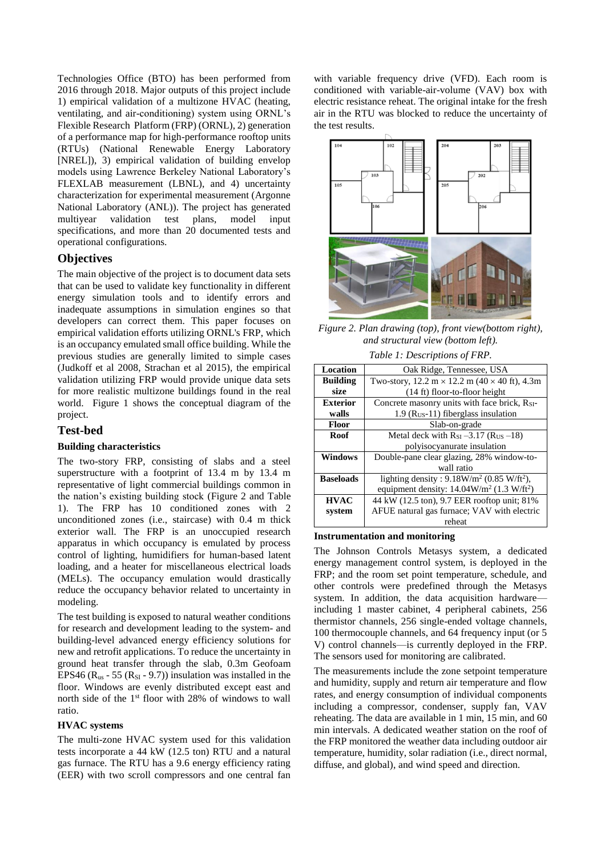Technologies Office (BTO) has been performed from 2016 through 2018. Major outputs of this project include 1) empirical validation of a multizone HVAC (heating, ventilating, and air-conditioning) system using ORNL's Flexible Research Platform (FRP) (ORNL), 2) generation of a performance map for high-performance rooftop units (RTUs) (National Renewable Energy Laboratory [NREL]), 3) empirical validation of building envelop models using Lawrence Berkeley National Laboratory's FLEXLAB measurement (LBNL), and 4) uncertainty characterization for experimental measurement (Argonne National Laboratory (ANL)). The project has generated multiyear validation test plans, model input specifications, and more than 20 documented tests and operational configurations.

# **Objectives**

The main objective of the project is to document data sets that can be used to validate key functionality in different energy simulation tools and to identify errors and inadequate assumptions in simulation engines so that developers can correct them. This paper focuses on empirical validation efforts utilizing ORNL's FRP, which is an occupancy emulated small office building. While the previous studies are generally limited to simple cases (Judkoff et al 2008, Strachan et al 2015), the empirical validation utilizing FRP would provide unique data sets for more realistic multizone buildings found in the real world. Figure 1 shows the conceptual diagram of the project.

# **Test-bed**

## **Building characteristics**

The two-story FRP, consisting of slabs and a steel superstructure with a footprint of 13.4 m by 13.4 m representative of light commercial buildings common in the nation's existing building stock (Figure 2 and Table 1). The FRP has 10 conditioned zones with 2 unconditioned zones (i.e., staircase) with 0.4 m thick exterior wall. The FRP is an unoccupied research apparatus in which occupancy is emulated by process control of lighting, humidifiers for human-based latent loading, and a heater for miscellaneous electrical loads (MELs). The occupancy emulation would drastically reduce the occupancy behavior related to uncertainty in modeling.

The test building is exposed to natural weather conditions for research and development leading to the system- and building-level advanced energy efficiency solutions for new and retrofit applications. To reduce the uncertainty in ground heat transfer through the slab, 0.3m Geofoam EPS46 ( $R_{us}$  - 55 ( $R_{SI}$  - 9.7)) insulation was installed in the floor. Windows are evenly distributed except east and north side of the 1<sup>st</sup> floor with 28% of windows to wall ratio.

## **HVAC systems**

The multi-zone HVAC system used for this validation tests incorporate a 44 kW (12.5 ton) RTU and a natural gas furnace. The RTU has a 9.6 energy efficiency rating (EER) with two scroll compressors and one central fan

with variable frequency drive (VFD). Each room is conditioned with variable-air-volume (VAV) box with electric resistance reheat. The original intake for the fresh air in the RTU was blocked to reduce the uncertainty of the test results.



*Figure 2. Plan drawing (top), front view(bottom right), and structural view (bottom left).*

*Table 1: Descriptions of FRP.*

| Location         | Oak Ridge, Tennessee, USA                                                          |
|------------------|------------------------------------------------------------------------------------|
| <b>Building</b>  | Two-story, $12.2 \text{ m} \times 12.2 \text{ m} (40 \times 40 \text{ ft})$ , 4.3m |
| size             | $(14 \text{ ft})$ floor-to-floor height                                            |
| <b>Exterior</b>  | Concrete masonry units with face brick, R <sub>SI</sub> -                          |
| walls            | $1.9$ (R <sub>US</sub> -11) fiberglass insulation                                  |
| <b>Floor</b>     | Slab-on-grade                                                                      |
| <b>Roof</b>      | Metal deck with $R_{SI}$ –3.17 ( $R_{US}$ –18)                                     |
|                  | polyisocyanurate insulation                                                        |
| Windows          | Double-pane clear glazing, 28% window-to-                                          |
|                  | wall ratio                                                                         |
| <b>Baseloads</b> | lighting density : $9.18W/m^2$ (0.85 W/ft <sup>2</sup> ),                          |
|                  | equipment density: $14.04 \text{W/m}^2$ (1.3 W/ft <sup>2</sup> )                   |
| <b>HVAC</b>      | 44 kW (12.5 ton), 9.7 EER rooftop unit; 81%                                        |
| system           | AFUE natural gas furnace; VAV with electric                                        |
|                  | reheat                                                                             |

#### **Instrumentation and monitoring**

The Johnson Controls Metasys system, a dedicated energy management control system, is deployed in the FRP; and the room set point temperature, schedule, and other controls were predefined through the Metasys system. In addition, the data acquisition hardware including 1 master cabinet, 4 peripheral cabinets, 256 thermistor channels, 256 single-ended voltage channels, 100 thermocouple channels, and 64 frequency input (or 5 V) control channels—is currently deployed in the FRP. The sensors used for monitoring are calibrated.

The measurements include the zone setpoint temperature and humidity, supply and return air temperature and flow rates, and energy consumption of individual components including a compressor, condenser, supply fan, VAV reheating. The data are available in 1 min, 15 min, and 60 min intervals. A dedicated weather station on the roof of the FRP monitored the weather data including outdoor air temperature, humidity, solar radiation (i.e., direct normal, diffuse, and global), and wind speed and direction.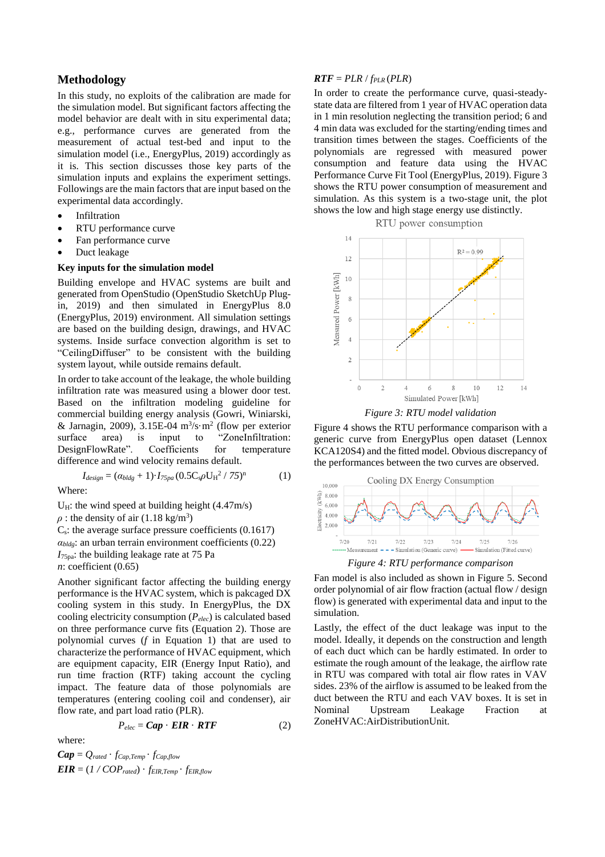## **Methodology**

In this study, no exploits of the calibration are made for the simulation model. But significant factors affecting the model behavior are dealt with in situ experimental data; e.g., performance curves are generated from the measurement of actual test-bed and input to the simulation model (i.e., EnergyPlus, 2019) accordingly as it is. This section discusses those key parts of the simulation inputs and explains the experiment settings. Followings are the main factors that are input based on the experimental data accordingly.

- **Infiltration**
- RTU performance curve
- Fan performance curve
- Duct leakage

### **Key inputs for the simulation model**

Building envelope and HVAC systems are built and generated from OpenStudio (OpenStudio SketchUp Plugin, 2019) and then simulated in EnergyPlus 8.0 (EnergyPlus, 2019) environment. All simulation settings are based on the building design, drawings, and HVAC systems. Inside surface convection algorithm is set to "CeilingDiffuser" to be consistent with the building system layout, while outside remains default.

In order to take account of the leakage, the whole building infiltration rate was measured using a blower door test. Based on the infiltration modeling guideline for commercial building energy analysis (Gowri, Winiarski, & Jarnagin, 2009),  $3.15E-04 \text{ m}^3/\text{s} \cdot \text{m}^2$  (flow per exterior surface area) is input to "ZoneInfiltration: DesignFlowRate". Coefficients for temperature difference and wind velocity remains default.

$$
I_{design} = (\alpha_{bldg} + 1) \cdot I_{75pa} (0.5 C_s \rho U_H^2 / 75)^n
$$
 (1)

Where:

 $U_H$ : the wind speed at building height (4.47m/s)  $\rho$ : the density of air (1.18 kg/m<sup>3</sup>)  $C_s$ : the average surface pressure coefficients (0.1617) *αbldg*: an urban terrain environment coefficients (0.22) *I*75pa: the building leakage rate at 75 Pa *n*: coefficient (0.65)

Another significant factor affecting the building energy performance is the HVAC system, which is pakcaged DX cooling system in this study. In EnergyPlus, the DX cooling electricity consumption (*Pelec*) is calculated based on three performance curve fits (Equation 2). Those are polynomial curves (*f* in Equation 1) that are used to characterize the performance of HVAC equipment, which are equipment capacity, EIR (Energy Input Ratio), and run time fraction (RTF) taking account the cycling impact. The feature data of those polynomials are temperatures (entering cooling coil and condenser), air flow rate, and part load ratio (PLR).

$$
P_{elec} = \textit{Cap} \cdot \textit{EIR} \cdot \textit{RTF} \tag{2}
$$

where:

 $Cap = Q_{rated} \cdot f_{Cap,Temp} \cdot f_{Cap,flow}$  $EIR = (1 / COP_{rated}) \cdot f_{EIR,Temp} \cdot f_{EIR,flow}$ 

#### $RTF = PLR / f_{PLR} (PLR)$

In order to create the performance curve, quasi-steadystate data are filtered from 1 year of HVAC operation data in 1 min resolution neglecting the transition period; 6 and 4 min data was excluded for the starting/ending times and transition times between the stages. Coefficients of the polynomials are regressed with measured power consumption and feature data using the HVAC Performance Curve Fit Tool (EnergyPlus, 2019). Figure 3 shows the RTU power consumption of measurement and simulation. As this system is a two-stage unit, the plot shows the low and high stage energy use distinctly.





*Figure 3: RTU model validation*

Figure 4 shows the RTU performance comparison with a generic curve from EnergyPlus open dataset (Lennox KCA120S4) and the fitted model. Obvious discrepancy of the performances between the two curves are observed.



*Figure 4: RTU performance comparison*

Fan model is also included as shown in Figure 5. Second order polynomial of air flow fraction (actual flow / design flow) is generated with experimental data and input to the simulation.

Lastly, the effect of the duct leakage was input to the model. Ideally, it depends on the construction and length of each duct which can be hardly estimated. In order to estimate the rough amount of the leakage, the airflow rate in RTU was compared with total air flow rates in VAV sides. 23% of the airflow is assumed to be leaked from the duct between the RTU and each VAV boxes. It is set in Nominal Upstream Leakage Fraction at ZoneHVAC:AirDistributionUnit.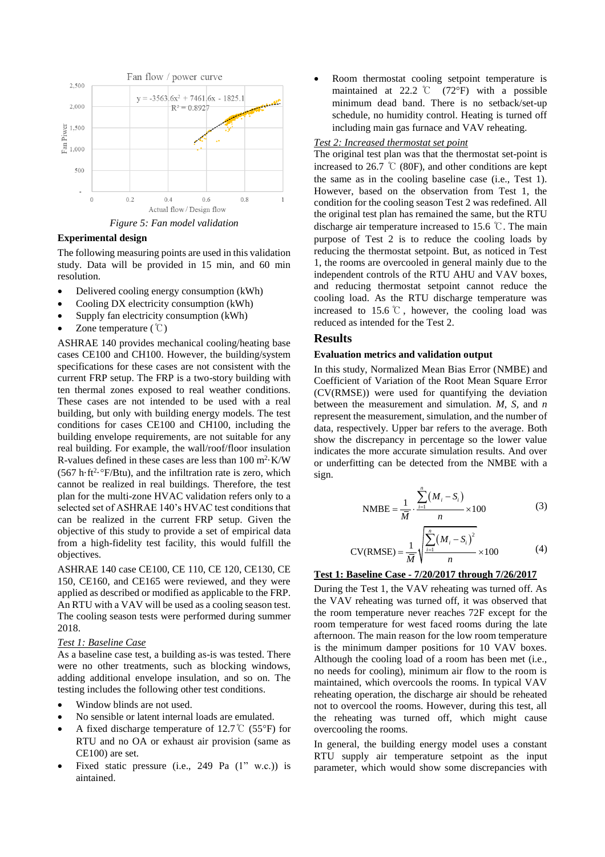

*Figure 5: Fan model validation*

## **Experimental design**

The following measuring points are used in this validation study. Data will be provided in 15 min, and 60 min resolution.

- Delivered cooling energy consumption (kWh)
- Cooling DX electricity consumption (kWh)
- Supply fan electricity consumption (kWh)
- Zone temperature  $(\degree C)$

ASHRAE 140 provides mechanical cooling/heating base cases CE100 and CH100. However, the building/system specifications for these cases are not consistent with the current FRP setup. The FRP is a two-story building with ten thermal zones exposed to real weather conditions. These cases are not intended to be used with a real building, but only with building energy models. The test conditions for cases CE100 and CH100, including the building envelope requirements, are not suitable for any real building. For example, the wall/roof/floor insulation R-values defined in these cases are less than  $100 \text{ m}^2$ ·K/W  $(567 h·ft<sup>2</sup>·°F/Btu)$ , and the infiltration rate is zero, which cannot be realized in real buildings. Therefore, the test plan for the multi-zone HVAC validation refers only to a selected set of ASHRAE 140's HVAC test conditions that can be realized in the current FRP setup. Given the objective of this study to provide a set of empirical data from a high-fidelity test facility, this would fulfill the objectives.

ASHRAE 140 case CE100, CE 110, CE 120, CE130, CE 150, CE160, and CE165 were reviewed, and they were applied as described or modified as applicable to the FRP. An RTU with a VAV will be used as a cooling season test. The cooling season tests were performed during summer 2018.

#### *Test 1: Baseline Case*

As a baseline case test, a building as-is was tested. There were no other treatments, such as blocking windows, adding additional envelope insulation, and so on. The testing includes the following other test conditions.

- Window blinds are not used.
- No sensible or latent internal loads are emulated.
- A fixed discharge temperature of 12.7°C (55°F) for RTU and no OA or exhaust air provision (same as CE100) are set.
- Fixed static pressure (i.e., 249 Pa  $(1"$  w.c.)) is aintained.

Room thermostat cooling setpoint temperature is maintained at 22.2  $\degree$ C (72 $\degree$ F) with a possible minimum dead band. There is no setback/set-up schedule, no humidity control. Heating is turned off including main gas furnace and VAV reheating.

#### *Test 2: Increased thermostat set point*

The original test plan was that the thermostat set-point is increased to 26.7  $\degree$  (80F), and other conditions are kept the same as in the cooling baseline case (i.e., Test 1). However, based on the observation from Test 1, the condition for the cooling season Test 2 was redefined. All the original test plan has remained the same, but the RTU discharge air temperature increased to 15.6 ℃. The main purpose of Test 2 is to reduce the cooling loads by reducing the thermostat setpoint. But, as noticed in Test 1, the rooms are overcooled in general mainly due to the independent controls of the RTU AHU and VAV boxes, and reducing thermostat setpoint cannot reduce the cooling load. As the RTU discharge temperature was increased to 15.6 ℃ , however, the cooling load was reduced as intended for the Test 2.

## **Results**

## **Evaluation metrics and validation output**

In this study, Normalized Mean Bias Error (NMBE) and Coefficient of Variation of the Root Mean Square Error (CV(RMSE)) were used for quantifying the deviation between the measurement and simulation. *M*, *S,* and *n* represent the measurement, simulation, and the number of data, respectively. Upper bar refers to the average. Both show the discrepancy in percentage so the lower value indicates the more accurate simulation results. And over or underfitting can be detected from the NMBE with a sign.

NMBE = 
$$
\frac{1}{\overline{M}} \cdot \frac{\sum_{i=1}^{n} (M_i - S_i)}{n} \times 100
$$
 (3)

CV(RMSE) = 
$$
\frac{1}{\bar{M}}\sqrt{\frac{\sum_{i=1}^{n} (M_i - S_i)^2}{n}} \times 100
$$
 (4)

#### **Test 1: Baseline Case - 7/20/2017 through 7/26/2017**

During the Test 1, the VAV reheating was turned off. As the VAV reheating was turned off, it was observed that the room temperature never reaches 72F except for the room temperature for west faced rooms during the late afternoon. The main reason for the low room temperature is the minimum damper positions for 10 VAV boxes. Although the cooling load of a room has been met (i.e., no needs for cooling), minimum air flow to the room is maintained, which overcools the rooms. In typical VAV reheating operation, the discharge air should be reheated not to overcool the rooms. However, during this test, all the reheating was turned off, which might cause overcooling the rooms.

In general, the building energy model uses a constant RTU supply air temperature setpoint as the input parameter, which would show some discrepancies with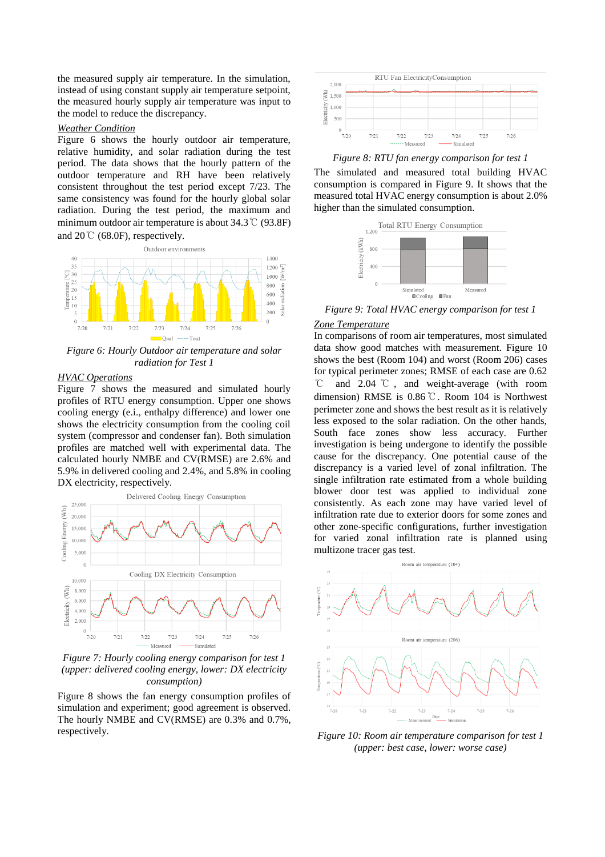the measured supply air temperature. In the simulation, instead of using constant supply air temperature setpoint, the measured hourly supply air temperature was input to the model to reduce the discrepancy.

### *Weather Condition*

Figure 6 shows the hourly outdoor air temperature, relative humidity, and solar radiation during the test period. The data shows that the hourly pattern of the outdoor temperature and RH have been relatively consistent throughout the test period except 7/23. The same consistency was found for the hourly global solar radiation. During the test period, the maximum and minimum outdoor air temperature is about 34.3℃ (93.8F) and 20℃ (68.0F), respectively.



*Figure 6: Hourly Outdoor air temperature and solar radiation for Test 1*

#### *HVAC Operations*

Figure 7 shows the measured and simulated hourly profiles of RTU energy consumption. Upper one shows cooling energy (e.i., enthalpy difference) and lower one shows the electricity consumption from the cooling coil system (compressor and condenser fan). Both simulation profiles are matched well with experimental data. The calculated hourly NMBE and CV(RMSE) are 2.6% and 5.9% in delivered cooling and 2.4%, and 5.8% in cooling DX electricity, respectively.



*Figure 7: Hourly cooling energy comparison for test 1 (upper: delivered cooling energy, lower: DX electricity consumption)*

Figure 8 shows the fan energy consumption profiles of simulation and experiment; good agreement is observed. The hourly NMBE and CV(RMSE) are 0.3% and 0.7%, respectively.



*Figure 8: RTU fan energy comparison for test 1*

The simulated and measured total building HVAC consumption is compared in Figure 9. It shows that the measured total HVAC energy consumption is about 2.0% higher than the simulated consumption.



*Figure 9: Total HVAC energy comparison for test 1*

#### *Zone Temperature*

In comparisons of room air temperatures, most simulated data show good matches with measurement. Figure 10 shows the best (Room 104) and worst (Room 206) cases for typical perimeter zones; RMSE of each case are 0.62 ℃ and 2.04 ℃ , and weight-average (with room dimension) RMSE is 0.86℃. Room 104 is Northwest perimeter zone and shows the best result as it is relatively less exposed to the solar radiation. On the other hands, South face zones show less accuracy. Further investigation is being undergone to identify the possible cause for the discrepancy. One potential cause of the discrepancy is a varied level of zonal infiltration. The single infiltration rate estimated from a whole building blower door test was applied to individual zone consistently. As each zone may have varied level of infiltration rate due to exterior doors for some zones and other zone-specific configurations, further investigation for varied zonal infiltration rate is planned using multizone tracer gas test.



*Figure 10: Room air temperature comparison for test 1 (upper: best case, lower: worse case)*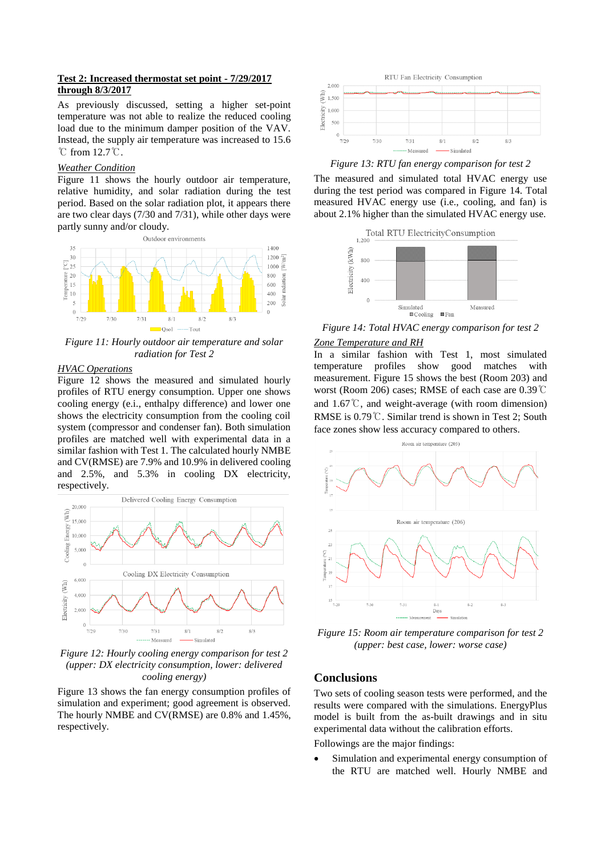## **Test 2: Increased thermostat set point - 7/29/2017 through 8/3/2017**

As previously discussed, setting a higher set-point temperature was not able to realize the reduced cooling load due to the minimum damper position of the VAV. Instead, the supply air temperature was increased to 15.6 ℃ from 12.7℃.

#### *Weather Condition*

Figure 11 shows the hourly outdoor air temperature, relative humidity, and solar radiation during the test period. Based on the solar radiation plot, it appears there are two clear days (7/30 and 7/31), while other days were partly sunny and/or cloudy.



*Figure 11: Hourly outdoor air temperature and solar radiation for Test 2*

#### *HVAC Operations*

Figure 12 shows the measured and simulated hourly profiles of RTU energy consumption. Upper one shows cooling energy (e.i., enthalpy difference) and lower one shows the electricity consumption from the cooling coil system (compressor and condenser fan). Both simulation profiles are matched well with experimental data in a similar fashion with Test 1. The calculated hourly NMBE and CV(RMSE) are 7.9% and 10.9% in delivered cooling and 2.5%, and 5.3% in cooling DX electricity, respectively.



*Figure 12: Hourly cooling energy comparison for test 2 (upper: DX electricity consumption, lower: delivered cooling energy)*

Figure 13 shows the fan energy consumption profiles of simulation and experiment; good agreement is observed. The hourly NMBE and CV(RMSE) are 0.8% and 1.45%, respectively.



*Figure 13: RTU fan energy comparison for test 2*

The measured and simulated total HVAC energy use during the test period was compared in Figure 14. Total measured HVAC energy use (i.e., cooling, and fan) is about 2.1% higher than the simulated HVAC energy use.



*Figure 14: Total HVAC energy comparison for test 2 Zone Temperature and RH*

In a similar fashion with Test 1, most simulated temperature profiles show good matches with measurement. Figure 15 shows the best (Room 203) and worst (Room 206) cases; RMSE of each case are 0.39℃ and 1.67℃, and weight-average (with room dimension) RMSE is 0.79℃. Similar trend is shown in Test 2; South face zones show less accuracy compared to others.



*Figure 15: Room air temperature comparison for test 2 (upper: best case, lower: worse case)*

## **Conclusions**

Two sets of cooling season tests were performed, and the results were compared with the simulations. EnergyPlus model is built from the as-built drawings and in situ experimental data without the calibration efforts.

Followings are the major findings:

Simulation and experimental energy consumption of the RTU are matched well. Hourly NMBE and